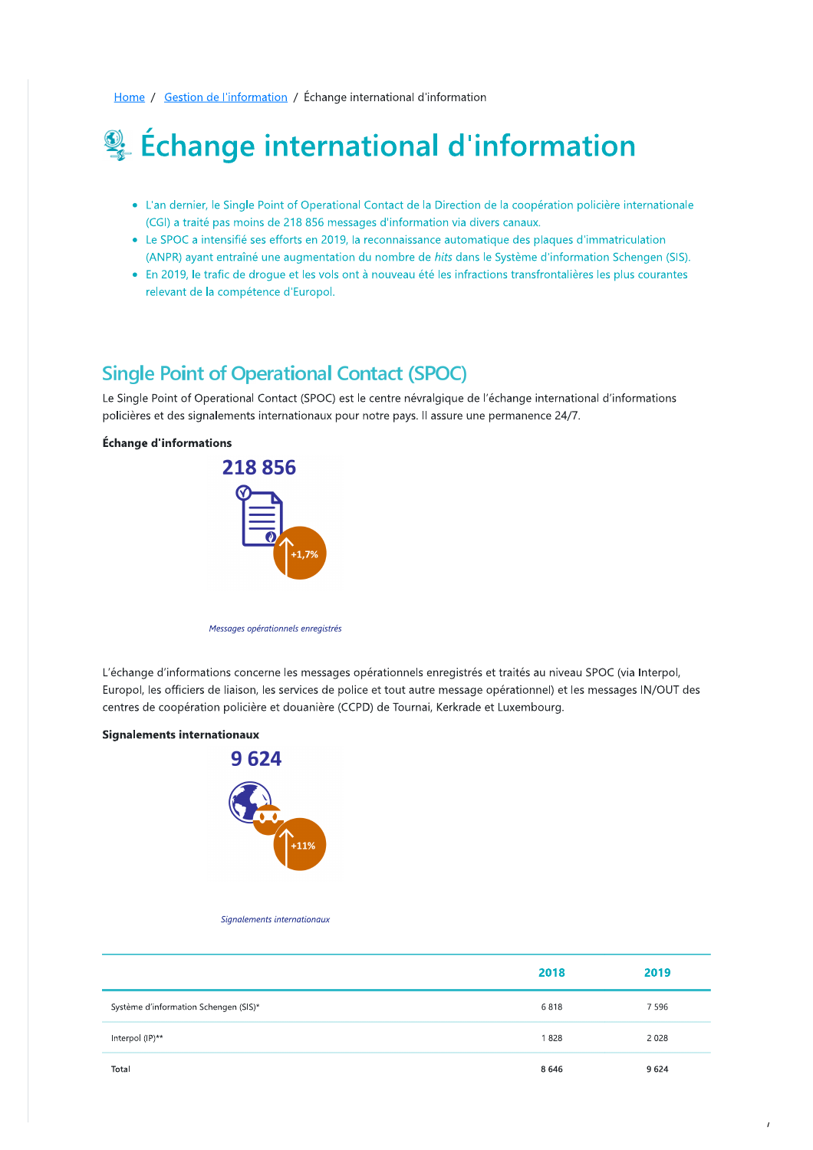Home / Gestion de l'information / Échange international d'information

# Echange international d'information

- L'an dernier, le Single Point of Operational Contact de la Direction de la coopération policière internationale (CGI) a traité pas moins de 218 856 messages d'information via divers canaux.
- Le SPOC a intensifié ses efforts en 2019, la reconnaissance automatique des plaques d'immatriculation (ANPR) ayant entraîné une augmentation du nombre de hits dans le Système d'information Schengen (SIS).
- En 2019, le trafic de drogue et les vols ont à nouveau été les infractions transfrontalières les plus courantes relevant de la compétence d'Europol.

# **Single Point of Operational Contact (SPOC)**

Le Single Point of Operational Contact (SPOC) est le centre névralgique de l'échange international d'informations policières et des signalements internationaux pour notre pays. Il assure une permanence 24/7.

### Échange d'informations



Messages opérationnels enregistrés

L'échange d'informations concerne les messages opérationnels enregistrés et traités au niveau SPOC (via Interpol, Europol, les officiers de liaison, les services de police et tout autre message opérationnel) et les messages IN/OUT des centres de coopération policière et douanière (CCPD) de Tournai, Kerkrade et Luxembourg.

#### **Signalements internationaux**



#### Signalements internationaux

|                                       | 2018 | 2019    |
|---------------------------------------|------|---------|
| Système d'information Schengen (SIS)* | 6818 | 7596    |
| Interpol (IP)**                       | 1828 | 2 0 2 8 |
| Total                                 | 8646 | 9624    |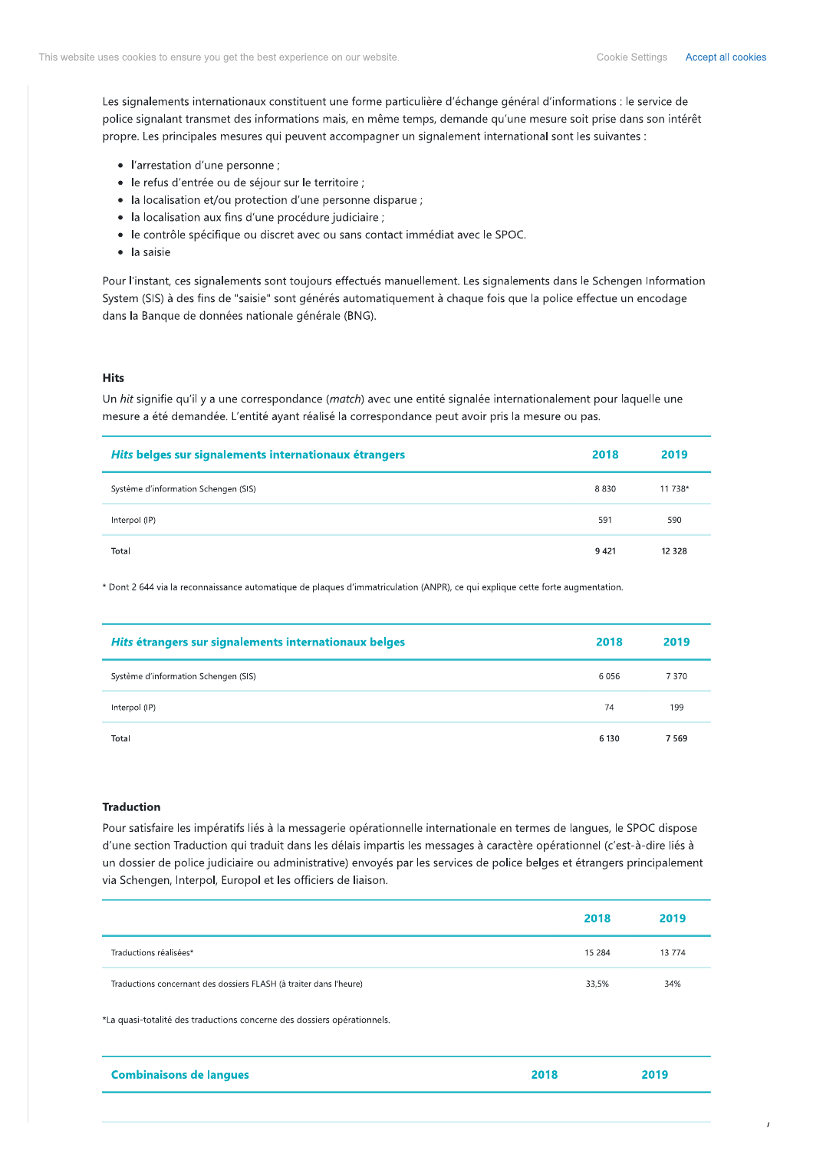Les signalements internationaux constituent une forme particulière d'échange général d'informations : le service de police signalant transmet des informations mais, en même temps, demande qu'une mesure soit prise dans son intérêt propre. Les principales mesures qui peuvent accompagner un signalement international sont les suivantes :

- · l'arrestation d'une personne ;
- · le refus d'entrée ou de séjour sur le territoire ;
- la localisation et/ou protection d'une personne disparue ;
- · la localisation aux fins d'une procédure judiciaire ;
- · le contrôle spécifique ou discret avec ou sans contact immédiat avec le SPOC.
- · la saisie

Pour l'instant, ces signalements sont toujours effectués manuellement. Les signalements dans le Schengen Information System (SIS) à des fins de "saisie" sont générés automatiquement à chaque fois que la police effectue un encodage dans la Banque de données nationale générale (BNG).

### **Hits**

Un hit signifie qu'il y a une correspondance (match) avec une entité signalée internationalement pour laquelle une mesure a été demandée. L'entité ayant réalisé la correspondance peut avoir pris la mesure ou pas.

| Hits belges sur signalements internationaux étrangers | 2018   | 2019     |
|-------------------------------------------------------|--------|----------|
| Système d'information Schengen (SIS)                  | 8830   | 11 738*  |
| Interpol (IP)                                         | 591    | 590      |
| Total                                                 | 9 4 21 | 12 3 2 8 |

\* Dont 2 644 via la reconnaissance automatique de plaques d'immatriculation (ANPR), ce qui explique cette forte augmentation.

| Hits étrangers sur signalements internationaux belges | 2018    | 2019 |
|-------------------------------------------------------|---------|------|
| Système d'information Schengen (SIS)                  | 6056    | 7370 |
| Interpol (IP)                                         | 74      | 199  |
| Total                                                 | 6 1 3 0 | 7569 |

### **Traduction**

Pour satisfaire les impératifs liés à la messagerie opérationnelle internationale en termes de langues, le SPOC dispose d'une section Traduction qui traduit dans les délais impartis les messages à caractère opérationnel (c'est-à-dire liés à un dossier de police judiciaire ou administrative) envoyés par les services de police belges et étrangers principalement via Schengen, Interpol, Europol et les officiers de liaison.

|                                                                    | 2018    | 2019   |
|--------------------------------------------------------------------|---------|--------|
| Traductions réalisées*                                             | 15 2 84 | 13 774 |
| Traductions concernant des dossiers FLASH (à traiter dans l'heure) | 33,5%   | 34%    |

\*La quasi-totalité des traductions concerne des dossiers opérationnels.

| <b>Combinaisons de langues</b> | 2019 |
|--------------------------------|------|
|                                |      |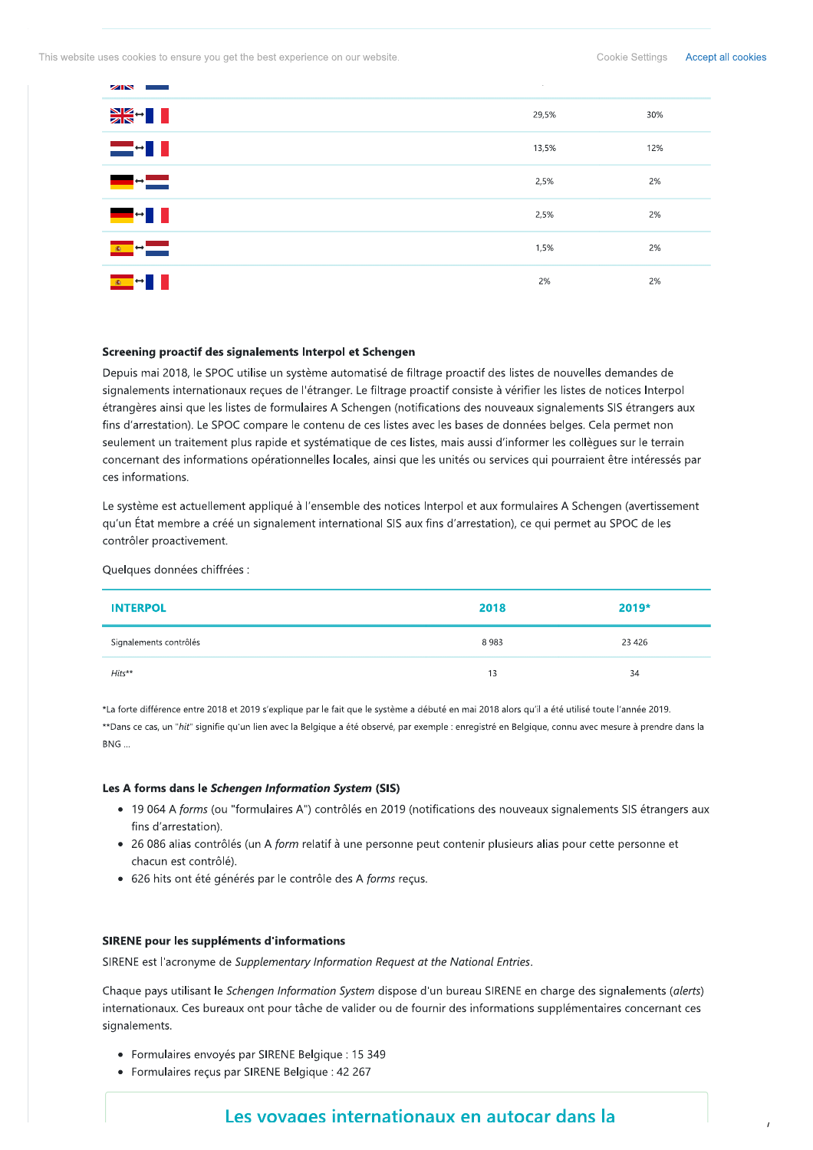This website uses cookies to ensure you get the best experience on our website.

**ZIN** 

| ▓▓╍▊▊                                                                                                                                                                                                                                                                                                                                                                                                                                                                           | 29,5% | 30% |
|---------------------------------------------------------------------------------------------------------------------------------------------------------------------------------------------------------------------------------------------------------------------------------------------------------------------------------------------------------------------------------------------------------------------------------------------------------------------------------|-------|-----|
| ▅▅▗▊▐                                                                                                                                                                                                                                                                                                                                                                                                                                                                           | 13,5% | 12% |
| $\overline{\phantom{a}}$ $\overline{\phantom{a}}$ $\overline{\phantom{a}}$ $\overline{\phantom{a}}$ $\overline{\phantom{a}}$ $\overline{\phantom{a}}$ $\overline{\phantom{a}}$ $\overline{\phantom{a}}$ $\overline{\phantom{a}}$ $\overline{\phantom{a}}$ $\overline{\phantom{a}}$ $\overline{\phantom{a}}$ $\overline{\phantom{a}}$ $\overline{\phantom{a}}$ $\overline{\phantom{a}}$ $\overline{\phantom{a}}$ $\overline{\phantom{a}}$ $\overline{\phantom{a}}$ $\overline{\$ | 2,5%  | 2%  |
| ▀▀▝▐▐                                                                                                                                                                                                                                                                                                                                                                                                                                                                           | 2,5%  | 2%  |
| $\sim$ $\sim$ $\sim$                                                                                                                                                                                                                                                                                                                                                                                                                                                            | 1,5%  | 2%  |
| $\begin{array}{c c c c c} \hline \textbf{c} & \textbf{c} & \textbf{c} \\ \hline \end{array}$                                                                                                                                                                                                                                                                                                                                                                                    | 2%    | 2%  |

#### Screening proactif des signalements Interpol et Schengen

Depuis mai 2018, le SPOC utilise un système automatisé de filtrage proactif des listes de nouvelles demandes de signalements internationaux reçues de l'étranger. Le filtrage proactif consiste à vérifier les listes de notices Interpol étrangères ainsi que les listes de formulaires A Schengen (notifications des nouveaux signalements SIS étrangers aux fins d'arrestation). Le SPOC compare le contenu de ces listes avec les bases de données belges. Cela permet non seulement un traitement plus rapide et systématique de ces listes, mais aussi d'informer les collègues sur le terrain concernant des informations opérationnelles locales, ainsi que les unités ou services qui pourraient être intéressés par ces informations.

Le système est actuellement appliqué à l'ensemble des notices Interpol et aux formulaires A Schengen (avertissement qu'un État membre a créé un signalement international SIS aux fins d'arrestation), ce qui permet au SPOC de les contrôler proactivement.

Quelques données chiffrées :

| <b>INTERPOL</b>        | 2018 | $2019*$ |
|------------------------|------|---------|
| Signalements contrôlés | 8983 | 23 4 26 |
| $Hits**$               | 13   | 34      |

\*La forte différence entre 2018 et 2019 s'explique par le fait que le système a débuté en mai 2018 alors qu'il a été utilisé toute l'année 2019. \*\*Dans ce cas, un "hit" signifie qu'un lien avec la Belgique a été observé, par exemple : enregistré en Belgique, connu avec mesure à prendre dans la BNG ...

#### Les A forms dans le Schengen Information System (SIS)

- 19 064 A forms (ou "formulaires A") contrôlés en 2019 (notifications des nouveaux signalements SIS étrangers aux fins d'arrestation).
- 26 086 alias contrôlés (un A form relatif à une personne peut contenir plusieurs alias pour cette personne et chacun est contrôlé).
- 626 hits ont été générés par le contrôle des A forms reçus.

#### SIRENE pour les suppléments d'informations

SIRENE est l'acronyme de Supplementary Information Request at the National Entries.

Chaque pays utilisant le Schengen Information System dispose d'un bureau SIRENE en charge des signalements (alerts) internationaux. Ces bureaux ont pour tâche de valider ou de fournir des informations supplémentaires concernant ces signalements.

- · Formulaires envoyés par SIRENE Belgique : 15 349
- Formulaires reçus par SIRENE Belgique : 42 267

# Les vovages internationaux en autocar dans la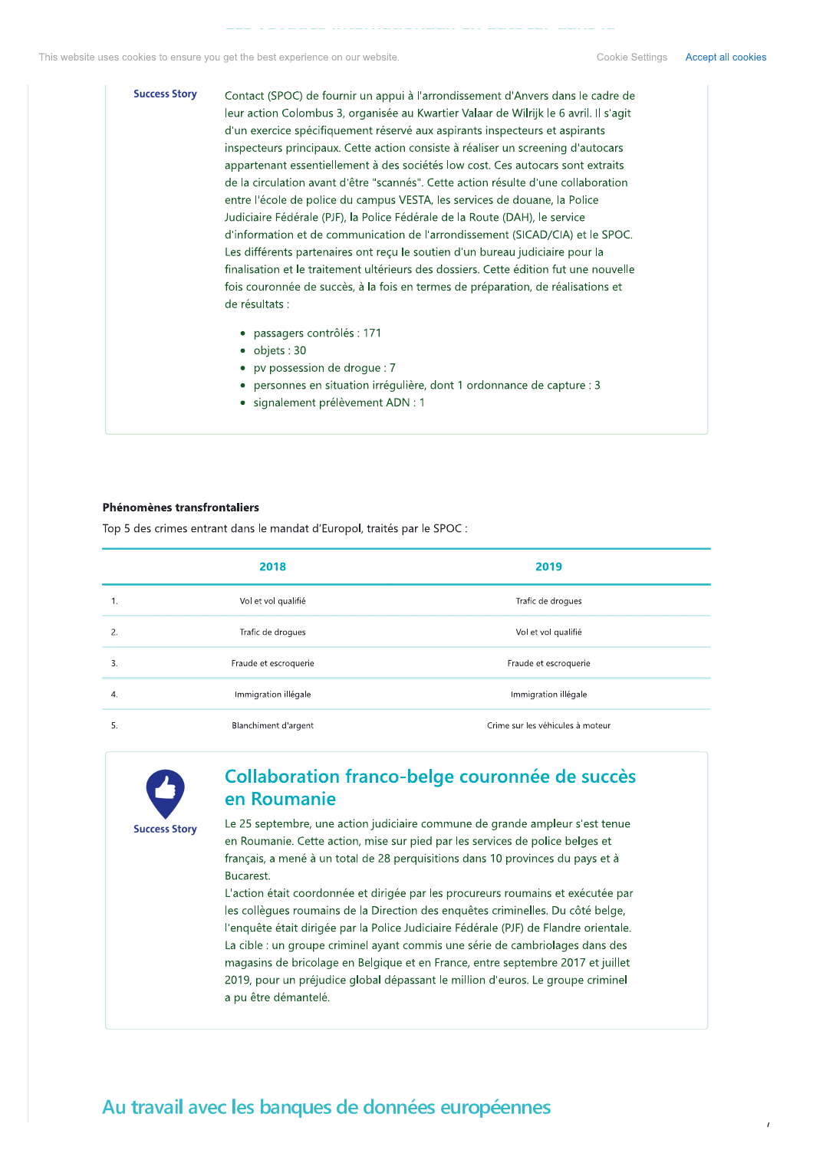**Success Story** Contact (SPOC) de fournir un appui à l'arrondissement d'Anvers dans le cadre de leur action Colombus 3, organisée au Kwartier Valaar de Wilrijk le 6 avril. Il s'agit d'un exercice spécifiquement réservé aux aspirants inspecteurs et aspirants inspecteurs principaux. Cette action consiste à réaliser un screening d'autocars appartenant essentiellement à des sociétés low cost. Ces autocars sont extraits de la circulation avant d'être "scannés". Cette action résulte d'une collaboration entre l'école de police du campus VESTA, les services de douane, la Police Judiciaire Fédérale (PJF), la Police Fédérale de la Route (DAH), le service d'information et de communication de l'arrondissement (SICAD/CIA) et le SPOC. Les différents partenaires ont reçu le soutien d'un bureau judiciaire pour la finalisation et le traitement ultérieurs des dossiers. Cette édition fut une nouvelle fois couronnée de succès, à la fois en termes de préparation, de réalisations et de résultats :

- · passagers contrôlés : 171
- $\bullet$  objets: 30
- pv possession de droque : 7
- · personnes en situation irrégulière, dont 1 ordonnance de capture : 3
- · signalement prélèvement ADN : 1

### Phénomènes transfrontaliers

Top 5 des crimes entrant dans le mandat d'Europol, traités par le SPOC :

|    | 2018                  | 2019                             |
|----|-----------------------|----------------------------------|
|    | Vol et vol qualifié   | Trafic de droques                |
| 2. | Trafic de droques     | Vol et vol qualifié              |
| 3. | Fraude et escroquerie | Fraude et escroquerie            |
| 4. | Immigration illégale  | Immigration illégale             |
| 5. | Blanchiment d'argent  | Crime sur les véhicules à moteur |



# Collaboration franco-belge couronnée de succès en Roumanie

Le 25 septembre, une action judiciaire commune de grande ampleur s'est tenue en Roumanie. Cette action, mise sur pied par les services de police belges et français, a mené à un total de 28 perquisitions dans 10 provinces du pays et à Bucarest.

L'action était coordonnée et dirigée par les procureurs roumains et exécutée par les collègues roumains de la Direction des enquêtes criminelles. Du côté belge, l'enquête était dirigée par la Police Judiciaire Fédérale (PJF) de Flandre orientale. La cible : un groupe criminel ayant commis une série de cambriolages dans des magasins de bricolage en Belgique et en France, entre septembre 2017 et juillet 2019, pour un préjudice global dépassant le million d'euros. Le groupe criminel a pu être démantelé.

# Au travail avec les banques de données européennes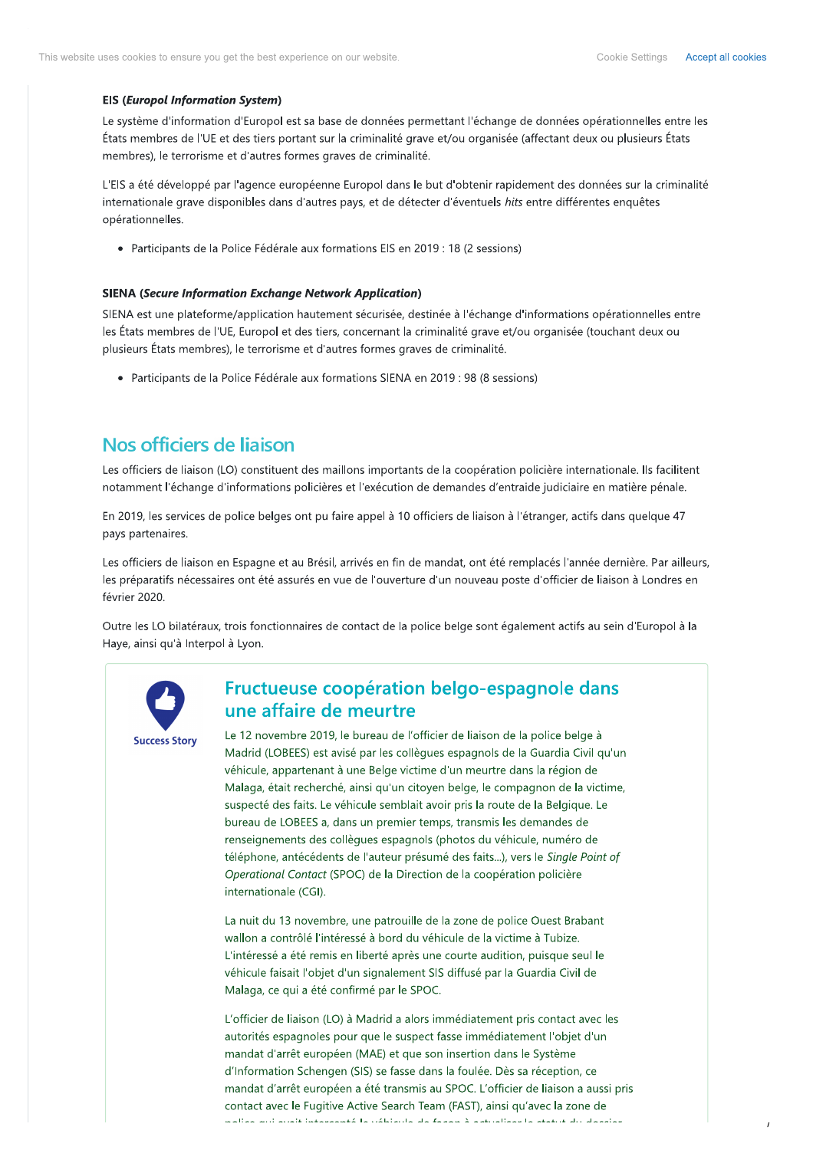### **EIS (Europol Information System)**

Le système d'information d'Europol est sa base de données permettant l'échange de données opérationnelles entre les États membres de l'UE et des tiers portant sur la criminalité grave et/ou organisée (affectant deux ou plusieurs États membres), le terrorisme et d'autres formes graves de criminalité.

L'EIS a été développé par l'agence européenne Europol dans le but d'obtenir rapidement des données sur la criminalité internationale grave disponibles dans d'autres pays, et de détecter d'éventuels hits entre différentes enquêtes opérationnelles.

• Participants de la Police Fédérale aux formations EIS en 2019 : 18 (2 sessions)

### **SIENA (Secure Information Exchange Network Application)**

SIENA est une plateforme/application hautement sécurisée, destinée à l'échange d'informations opérationnelles entre les États membres de l'UE, Europol et des tiers, concernant la criminalité grave et/ou organisée (touchant deux ou plusieurs États membres), le terrorisme et d'autres formes graves de criminalité.

• Participants de la Police Fédérale aux formations SIENA en 2019 : 98 (8 sessions)

# Nos officiers de liaison

Les officiers de liaison (LO) constituent des maillons importants de la coopération policière internationale. Ils facilitent notamment l'échange d'informations policières et l'exécution de demandes d'entraide judiciaire en matière pénale.

En 2019, les services de police belges ont pu faire appel à 10 officiers de liaison à l'étranger, actifs dans quelque 47 pays partenaires.

Les officiers de liaison en Espagne et au Brésil, arrivés en fin de mandat, ont été remplacés l'année dernière. Par ailleurs, les préparatifs nécessaires ont été assurés en vue de l'ouverture d'un nouveau poste d'officier de liaison à Londres en février 2020.

Outre les LO bilatéraux, trois fonctionnaires de contact de la police belge sont également actifs au sein d'Europol à la Haye, ainsi qu'à Interpol à Lyon.



## Fructueuse coopération belgo-espagnole dans une affaire de meurtre

Le 12 novembre 2019, le bureau de l'officier de liaison de la police belge à Madrid (LOBEES) est avisé par les collègues espagnols de la Guardia Civil qu'un véhicule, appartenant à une Belge victime d'un meurtre dans la région de Malaga, était recherché, ainsi qu'un citoyen belge, le compagnon de la victime, suspecté des faits. Le véhicule semblait avoir pris la route de la Belgique. Le bureau de LOBEES a, dans un premier temps, transmis les demandes de renseignements des collègues espagnols (photos du véhicule, numéro de téléphone, antécédents de l'auteur présumé des faits...), vers le Single Point of Operational Contact (SPOC) de la Direction de la coopération policière internationale (CGI).

La nuit du 13 novembre, une patrouille de la zone de police Ouest Brabant wallon a contrôlé l'intéressé à bord du véhicule de la victime à Tubize. L'intéressé a été remis en liberté après une courte audition, puisque seul le véhicule faisait l'objet d'un signalement SIS diffusé par la Guardia Civil de Malaga, ce qui a été confirmé par le SPOC.

L'officier de liaison (LO) à Madrid a alors immédiatement pris contact avec les autorités espagnoles pour que le suspect fasse immédiatement l'objet d'un mandat d'arrêt européen (MAE) et que son insertion dans le Système d'Information Schengen (SIS) se fasse dans la foulée. Dès sa réception, ce mandat d'arrêt européen a été transmis au SPOC. L'officier de liaison a aussi pris contact avec le Fugitive Active Search Team (FAST), ainsi qu'avec la zone de ستأممونه اللاعاشية واستمارا والمتساوية والمتأمر والمتماكين والكعمومسية فالمربد أللم ومثالة